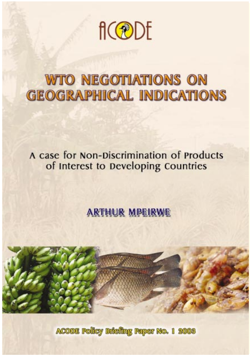

# **WTO NEGOTIATIONS ON GEOGRAPHICAL INDICATIONS**

# A case for Non-Discrimination of Products of Interest to Developing Countries

# **ARTHUR MPEIRWE**



ACODE Policy Edefing Paper No. 1 2008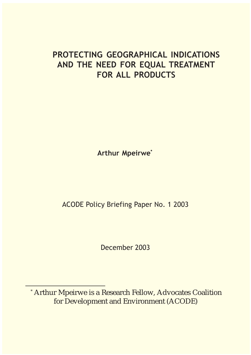## PROTECTING GEOGRAPHICAL INDICATIONS AND THE NEED FOR EQUAL TREATMENT FOR ALL PRODUCTS

Arthur Mpeirwe\*

ACODE Policy Briefing Paper No. 1 2003

December 2003

\* Arthur Mpeirwe is a Research Fellow, Advocates Coalition for Development and Environment (ACODE)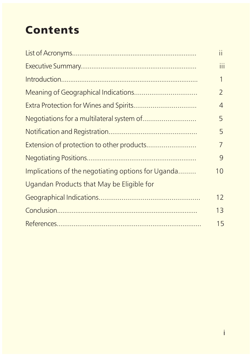# **Contents**

|                                                    | $\mathbf{H}$    |
|----------------------------------------------------|-----------------|
|                                                    | iii             |
|                                                    | 1               |
|                                                    | $\overline{2}$  |
|                                                    | 4               |
|                                                    | 5               |
|                                                    | 5               |
| Extension of protection to other products          | 7               |
|                                                    | 9               |
| Implications of the negotiating options for Uganda | 10 <sup>°</sup> |
| Ugandan Products that May be Eligible for          |                 |
|                                                    | 12              |
|                                                    | 13              |
|                                                    | 15              |
|                                                    |                 |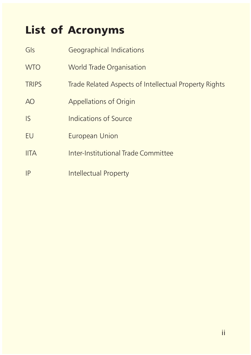# List of Acronyms

| Gls            | Geographical Indications                              |
|----------------|-------------------------------------------------------|
| <b>WTO</b>     | <b>World Trade Organisation</b>                       |
| <b>TRIPS</b>   | Trade Related Aspects of Intellectual Property Rights |
| A <sub>O</sub> | <b>Appellations of Origin</b>                         |
| <b>IS</b>      | Indications of Source                                 |
| EU             | European Union                                        |
| <b>IITA</b>    | Inter-Institutional Trade Committee                   |
| IP             | Intellectual Property                                 |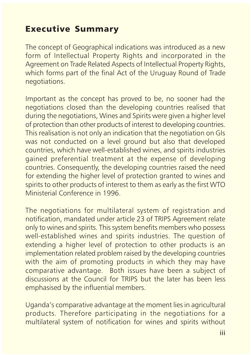## Executive Summary

The concept of Geographical indications was introduced as a new form of Intellectual Property Rights and incorporated in the Agreement on Trade Related Aspects of Intellectual Property Rights, which forms part of the final Act of the Uruguay Round of Trade negotiations.

Important as the concept has proved to be, no sooner had the negotiations closed than the developing countries realised that during the negotiations, Wines and Spirits were given a higher level of protection than other products of interest to developing countries. This realisation is not only an indication that the negotiation on GIs was not conducted on a level ground but also that developed countries, which have well-established wines, and spirits industries gained preferential treatment at the expense of developing countries. Consequently, the developing countries raised the need for extending the higher level of protection granted to wines and spirits to other products of interest to them as early as the first WTO Ministerial Conference in 1996.

The negotiations for multilateral system of registration and notification, mandated under article 23 of TRIPS Agreement relate only to wines and spirits. This system benefits members who possess well-established wines and spirits industries. The question of extending a higher level of protection to other products is an implementation related problem raised by the developing countries with the aim of promoting products in which they may have comparative advantage. Both issues have been a subject of discussions at the Council for TRIPS but the later has been less emphasised by the influential members.

Uganda's comparative advantage at the moment lies in agricultural products. Therefore participating in the negotiations for a multilateral system of notification for wines and spirits without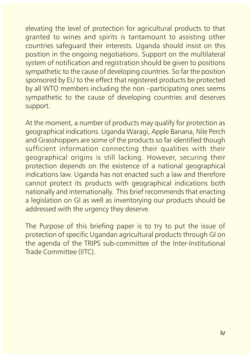elevating the level of protection for agricultural products to that granted to wines and spirits is tantamount to assisting other countries safeguard their interests. Uganda should insist on this position in the ongoing negotiations. Support on the multilateral system of notification and registration should be given to positions sympathetic to the cause of developing countries. So far the position sponsored by EU to the effect that registered products be protected by all WTO members including the non-participating ones seems sympathetic to the cause of developing countries and deserves support.

At the moment, a number of products may qualify for protection as geographical indications. Uganda Waragi, Apple Banana, Nile Perch and Grasshoppers are some of the products so far identified though sufficient information connecting their qualities with their geographical origins is still lacking. However, securing their protection depends on the existence of a national geographical indications law. Uganda has not enacted such a law and therefore cannot protect its products with geographical indications both nationally and internationally. This brief recommends that enacting a legislation on GI as well as inventorying our products should be addressed with the urgency they deserve.

The Purpose of this briefing paper is to try to put the issue of protection of specific Ugandan agricultural products through GI on the agenda of the TRIPS sub-committee of the Inter-Institutional Trade Committee (IITC).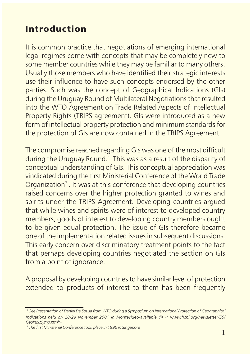## Introduction

It is common practice that negotiations of emerging international legal regimes come with concepts that may be completely new to some member countries while they may be familiar to many others. Usually those members who have identified their strategic interests use their influence to have such concepts endorsed by the other parties. Such was the concept of Geographical Indications (GIs) during the Uruguay Round of Multilateral Negotiations that resulted into the WTO Agreement on Trade Related Aspects of Intellectual Property Rights (TRIPS agreement). GIs were introduced as a new form of intellectual property protection and minimum standards for the protection of GIs are now contained in the TRIPS Agreement.

The compromise reached regarding GIs was one of the most difficult during the Uruguay Round.<sup>1</sup> This was as a result of the disparity of conceptual understanding of GIs. This conceptual appreciation was vindicated during the first Ministerial Conference of the World Trade Organization<sup>2</sup>. It was at this conference that developing countries raised concerns over the higher protection granted to wines and spirits under the TRIPS Agreement. Developing countries argued that while wines and spirits were of interest to developed country members, goods of interest to developing country members ought to be given equal protection. The issue of GIs therefore became one of the implementation related issues in subsequent discussions. This early concern over discriminatory treatment points to the fact that perhaps developing countries negotiated the section on GIs from a point of ignorance.

A proposal by developing countries to have similar level of protection extended to products of interest to them has been frequently

<sup>1</sup> See Presentation of Daniel De Sousa from WTO during a Symposium on International Protection of Geographical Indications held on 28-29 November 2001 in Montevideo-available  $\omega <$  www.ficpi.org/newsletter/50/ GeoIndicSymp.html>

<sup>2</sup> The first Ministerial Conference took place in 1996 in Singapore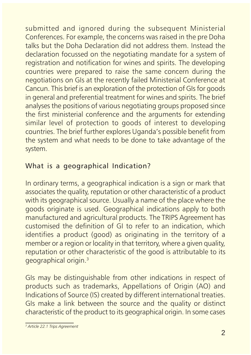submitted and ignored during the subsequent Ministerial Conferences. For example, the concerns was raised in the pre Doha talks but the Doha Declaration did not address them. Instead the declaration focussed on the negotiating mandate for a system of registration and notification for wines and spirits. The developing countries were prepared to raise the same concern during the negotiations on GIs at the recently failed Ministerial Conference at Cancun. This brief is an exploration of the protection of GIs for goods in general and preferential treatment for wines and spirits. The brief analyses the positions of various negotiating groups proposed since the first ministerial conference and the arguments for extending similar level of protection to goods of interest to developing countries. The brief further explores Uganda's possible benefit from the system and what needs to be done to take advantage of the system.

## What is a geographical Indication?

In ordinary terms, a geographical indication is a sign or mark that associates the quality, reputation or other characteristic of a product with its geographical source. Usually a name of the place where the goods originate is used. Geographical indications apply to both manufactured and agricultural products. The TRIPS Agreement has customised the definition of GI to refer to an indication, which identifies a product (good) as originating in the territory of a member or a region or locality in that territory, where a given quality, reputation or other characteristic of the good is attributable to its geographical origin.3

GIs may be distinguishable from other indications in respect of products such as trademarks, Appellations of Origin (AO) and Indications of Source (IS) created by different international treaties. GIs make a link between the source and the quality or distinct characteristic of the product to its geographical origin. In some cases

<sup>3</sup> Article 22.1 Trips Agreement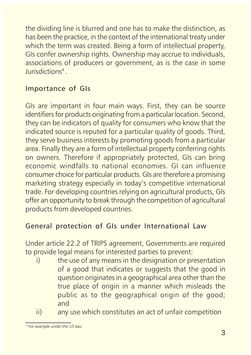the dividing line is blurred and one has to make the distinction, as has been the practice, in the context of the international treaty under which the term was created. Being a form of intellectual property, GIs confer ownership rights. Ownership may accrue to individuals, associations of producers or government, as is the case in some Jurisdictions4 .

## Importance of GIs

GIs are important in four main ways. First, they can be source identifiers for products originating from a particular location. Second, they can be indicators of quality for consumers who know that the indicated source is reputed for a particular quality of goods. Third, they serve business interests by promoting goods from a particular area. Finally they are a form of intellectual property conferring rights on owners. Therefore if appropriately protected, GIs can bring economic windfalls to national economies. GI can influence consumer choice for particular products. GIs are therefore a promising marketing strategy especially in today's competitive international trade. For developing countries relying on agricultural products, GIs offer an opportunity to break through the competition of agricultural products from developed countries.

## General protection of GIs under International Law

Under article 22.2 of TRIPS agreement, Governments are required to provide legal means for interested parties to prevent:

- i) the use of any means in the designation or presentation of a good that indicates or suggests that the good in question originates in a geographical area other than the true place of origin in a manner which misleads the public as to the geographical origin of the good; and
- ii) any use which constitutes an act of unfair competition

<sup>4</sup> For example under the US law.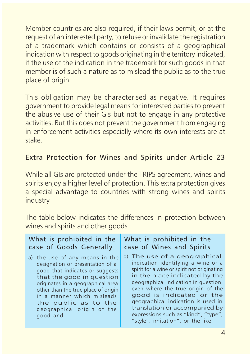Member countries are also required, if their laws permit, or at the request of an interested party, to refuse or invalidate the registration of a trademark which contains or consists of a geographical indication with respect to goods originating in the territory indicated, if the use of the indication in the trademark for such goods in that member is of such a nature as to mislead the public as to the true place of origin.

This obligation may be characterised as negative. It requires government to provide legal means for interested parties to prevent the abusive use of their GIs but not to engage in any protective activities. But this does not prevent the government from engaging in enforcement activities especially where its own interests are at stake.

## Extra Protection for Wines and Spirits under Article 23

While all GIs are protected under the TRIPS agreement, wines and spirits enjoy a higher level of protection. This extra protection gives a special advantage to countries with strong wines and spirits industry

The table below indicates the differences in protection between wines and spirits and other goods

#### What is prohibited in the case of Goods Generally

a) the use of any means in the designation or presentation of a good that indicates or suggests that the good in question originates in a geographical area other than the true place of origin in a manner which misleads the public as to the geographical origin of the good and

#### What is prohibited in the case of Wines and Spirits

b) The use of a geographical indication identifying a wine or a spirit for a wine or spirit not originating in the place indicated by the geographical indication in question, even where the true origin of the good is indicated or the geographical indication is used in translation or accompanied by expressions such as "kind", "type", "style", imitation", or the like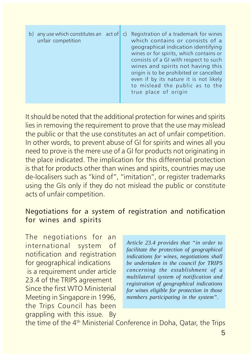| b) any use which constitutes an $act of c$<br>unfair competition | Registration of a trademark for wines<br>which contains or consists of a<br>geographical indication identifying<br>wines or for spirits, which contains or<br>consists of a GI with respect to such<br>wines and spirits not having this<br>origin is to be prohibited or cancelled<br>even if by its nature it is not likely<br>to mislead the public as to the<br>true place of origin |
|------------------------------------------------------------------|------------------------------------------------------------------------------------------------------------------------------------------------------------------------------------------------------------------------------------------------------------------------------------------------------------------------------------------------------------------------------------------|
|------------------------------------------------------------------|------------------------------------------------------------------------------------------------------------------------------------------------------------------------------------------------------------------------------------------------------------------------------------------------------------------------------------------------------------------------------------------|

It should be noted that the additional protection for wines and spirits lies in removing the requirement to prove that the use may mislead the public or that the use constitutes an act of unfair competition. In other words, to prevent abuse of GI for spirits and wines all you need to prove is the mere use of a GI for products not originating in the place indicated. The implication for this differential protection is that for products other than wines and spirits, countries may use de-localisers such as "kind of", "imitation", or register trademarks using the GIs only if they do not mislead the public or constitute acts of unfair competition.

#### Negotiations for a system of registration and notification for wines and spirits

The negotiations for an international system of notification and registration for geographical indications is a requirement under article 23.4 of the TRIPS agreement Since the first WTO Ministerial Meeting in Singapore in 1996, the Trips Council has been grappling with this issue. By

*Article 23.4 provides that "in order to facilitate the protection of geographical indications for wines, negotiations shall be undertaken in the council for TRIPS concerning the establishment of a multilateral system of notification and registration of geographical indications for wines eligible for protection in those members participating in the system".*

the time of the 4<sup>th</sup> Ministerial Conference in Doha, Qatar, the Trips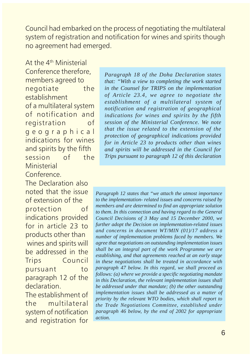Council had embarked on the process of negotiating the multilateral system of registration and notification for wines and spirits though no agreement had emerged.

At the 4<sup>th</sup> Ministerial Conference therefore, members agreed to negotiate the establishment of a multilateral system of notification and registration of geographical indications for wines and spirits by the fifth session of the **Ministerial** 

### Conference.

The Declaration also noted that the issue of extension of the protection of indications provided for in article 23 to products other than wines and spirits will be addressed in the Trips Council pursuant to paragraph 12 of the declaration.

The establishment of the multilateral system of notification and registration for *Paragraph 18 of the Doha Declaration states that: "With a view to completing the work started in the Counsel for TRIPS on the implementation of Article 23.4, we agree to negotiate the establishment of a multilateral system of notification and registration of geographical indications for wines and spirits by the fifth session of the Ministerial Conference. We note that the issue related to the extension of the protection of geographical indications provided for in Article 23 to products other than wines and spirits will be addressed in the Council for Trips pursuant to paragraph 12 of this declaration*

*Paragraph 12 states that "we attach the utmost importance to the implementation- related issues and concerns raised by members and are determined to find an appropriate solution to them. In this connection and having regard to the General Council Decisions of 3 May and 15 December 2000, we further adopt the Decision on implementation-related issues and concerns in document WT/MIN (01)/17 address a number of implementation problems faced by members. We agree that negotiations on outstanding implementation issues shall be an integral part of the work Programme we are establishing, and that agreements reached at an early stage in these negotiations shall be treated in accordance with paragraph 47 below. In this regard, we shall proceed as follows: (a) where we provide a specific negotiating mandate in this Declaration, the relevant implementation issues shall be addressed under that mandate; (b) the other outstanding implementation issues shall be addressed as a matter of priority by the relevant WTO bodies, which shall report to the Trade Negotiations Committee, established under paragraph 46 below, by the end of 2002 for appropriate action.*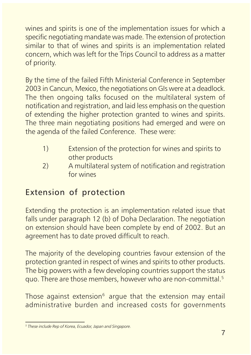wines and spirits is one of the implementation issues for which a specific negotiating mandate was made. The extension of protection similar to that of wines and spirits is an implementation related concern, which was left for the Trips Council to address as a matter of priority.

By the time of the failed Fifth Ministerial Conference in September 2003 in Cancun, Mexico, the negotiations on GIs were at a deadlock. The then ongoing talks focused on the multilateral system of notification and registration, and laid less emphasis on the question of extending the higher protection granted to wines and spirits. The three main negotiating positions had emerged and were on the agenda of the failed Conference. These were:

- 1) Extension of the protection for wines and spirits to other products
- 2) A multilateral system of notification and registration for wines

## Extension of protection

Extending the protection is an implementation related issue that falls under paragraph 12 (b) of Doha Declaration. The negotiation on extension should have been complete by end of 2002. But an agreement has to date proved difficult to reach.

The majority of the developing countries favour extension of the protection granted in respect of wines and spirits to other products. The big powers with a few developing countries support the status quo. There are those members, however who are non-committal.<sup>5</sup>

Those against extension<sup>6</sup> argue that the extension may entail administrative burden and increased costs for governments

<sup>5</sup> These include Rep of Korea, Ecuador, Japan and Singapore.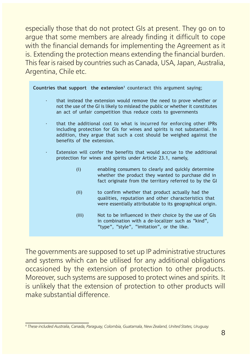especially those that do not protect GIs at present. They go on to argue that some members are already finding it difficult to cope with the financial demands for implementing the Agreement as it is. Extending the protection means extending the financial burden. This fear is raised by countries such as Canada, USA, Japan, Australia, Argentina, Chile etc.

Countries that support the extension<sup>1</sup> counteract this argument saying;

- that instead the extension would remove the need to prove whether or not the use of the GI is likely to mislead the public or whether it constitutes an act of unfair competition thus reduce costs to governments
- that the additional cost to what is incurred for enforcing other IPRs including protection for GIs for wines and spirits is not substantial. In addition, they argue that such a cost should be weighed against the benefits of the extension.
- Extension will confer the benefits that would accrue to the additional protection for wines and spirits under Article 23.1, namely,
	- (i) enabling consumers to clearly and quickly determine whether the product they wanted to purchase did in fact originate from the territory referred to by the GI
	- (ii) to confirm whether that product actually had the qualities, reputation and other characteristics that were essentially attributable to its geographical origin.
	- (iii) Not to be influenced in their choice by the use of GIs in combination with a de-localizer such as "kind". "type", "style", "imitation", or the like.

The governments are supposed to set up IP administrative structures and systems which can be utilised for any additional obligations occasioned by the extension of protection to other products. Moreover, such systems are supposed to protect wines and spirits. It is unlikely that the extension of protection to other products will make substantial difference.

<sup>6</sup> These included Australia, Canada, Paraguay, Colombia, Guatamala, New Zealand, United States, Uruguay.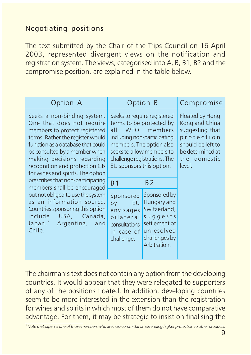## Negotiating positions

The text submitted by the Chair of the Trips Council on 16 April 2003, represented divergent views on the notification and registration system. The views, categorised into A, B, B1, B2 and the compromise position, are explained in the table below.

| Option A                                                                                                                                                                                                                                                                                                                                                                                                                                                                                                                                                      |                                                                                                                                                                                                                                   | Option B                                                                                                                | Compromise                                                                                                                            |
|---------------------------------------------------------------------------------------------------------------------------------------------------------------------------------------------------------------------------------------------------------------------------------------------------------------------------------------------------------------------------------------------------------------------------------------------------------------------------------------------------------------------------------------------------------------|-----------------------------------------------------------------------------------------------------------------------------------------------------------------------------------------------------------------------------------|-------------------------------------------------------------------------------------------------------------------------|---------------------------------------------------------------------------------------------------------------------------------------|
| Seeks a non-binding system.<br>One that does not require<br>members to protect registered<br>terms. Rather the register would<br>function as a database that could<br>be consulted by a member when<br>making decisions regarding<br>recognition and protection Gls<br>for wines and spirits. The option<br>prescribes that non-participating<br>members shall be encouraged<br>but not obliged to use the system<br>as an information source.<br>Countries sponsoring this option<br>include<br>USA, Canada,<br>Japan, <sup>7</sup> Argentina, and<br>Chile. | Seeks to require registered<br>terms to be protected by<br>WTO members<br>all<br>including non-participating<br>members. The option also<br>seeks to allow members to<br>challenge registrations. The<br>EU sponsors this option. |                                                                                                                         | Floated by Hong<br>Kong and China<br>suggesting that<br>protection<br>should be left to<br>be determined at<br>the domestic<br>level. |
|                                                                                                                                                                                                                                                                                                                                                                                                                                                                                                                                                               | <b>B</b> 1                                                                                                                                                                                                                        | B <sub>2</sub>                                                                                                          |                                                                                                                                       |
|                                                                                                                                                                                                                                                                                                                                                                                                                                                                                                                                                               | Sponsored<br>by<br>EU<br>envisages<br>bilateral<br>consultations<br>in case of<br>challenge.                                                                                                                                      | Sponsored by<br>Hungary and<br>Switzerland,<br>suggests<br>settlement of<br>unresolved<br>challenges by<br>Arbitration. |                                                                                                                                       |

The chairman's text does not contain any option from the developing countries. It would appear that they were relegated to supporters of any of the positions floated. In addition, developing countries seem to be more interested in the extension than the registration for wines and spirits in which most of them do not have comparative advantage. For them, it may be strategic to insist on finalising the

<sup>7</sup> Note that Japan is one of those members who are non-committal on extending higher protection to other products.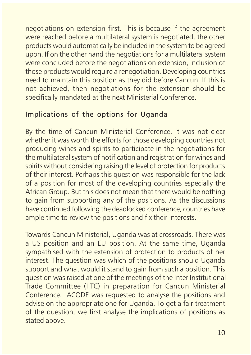negotiations on extension first. This is because if the agreement were reached before a multilateral system is negotiated, the other products would automatically be included in the system to be agreed upon. If on the other hand the negotiations for a multilateral system were concluded before the negotiations on extension, inclusion of those products would require a renegotiation. Developing countries need to maintain this position as they did before Cancun. If this is not achieved, then negotiations for the extension should be specifically mandated at the next Ministerial Conference.

## Implications of the options for Uganda

By the time of Cancun Ministerial Conference, it was not clear whether it was worth the efforts for those developing countries not producing wines and spirits to participate in the negotiations for the multilateral system of notification and registration for wines and spirits without considering raising the level of protection for products of their interest. Perhaps this question was responsible for the lack of a position for most of the developing countries especially the African Group. But this does not mean that there would be nothing to gain from supporting any of the positions. As the discussions have continued following the deadlocked conference, countries have ample time to review the positions and fix their interests.

Towards Cancun Ministerial, Uganda was at crossroads. There was a US position and an EU position. At the same time, Uganda sympathised with the extension of protection to products of her interest. The question was which of the positions should Uganda support and what would it stand to gain from such a position. This question was raised at one of the meetings of the Inter Institutional Trade Committee (IITC) in preparation for Cancun Ministerial Conference. ACODE was requested to analyse the positions and advise on the appropriate one for Uganda. To get a fair treatment of the question, we first analyse the implications of positions as stated above.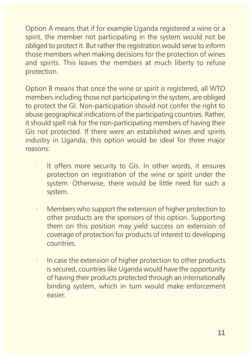Option A means that if for example Uganda registered a wine or a spirit, the member not participating in the system would not be obliged to protect it. But rather the registration would serve to inform those members when making decisions for the protection of wines and spirits. This leaves the members at much liberty to refuse protection.

Option B means that once the wine or spirit is registered, all WTO members including those not participating in the system, are obliged to protect the GI. Non-participation should not confer the right to abuse geographical indications of the participating countries. Rather, it should spell risk for the non-participating members of having their GIs not protected. If there were an established wines and spirits industry in Uganda, this option would be ideal for three major reasons:

- It offers more security to GIs. In other words, it ensures protection on registration of the wine or spirit under the system. Otherwise, there would be little need for such a system.
- Members who support the extension of higher protection to other products are the sponsors of this option. Supporting them on this position may yield success on extension of coverage of protection for products of interest to developing countries.
- In case the extension of higher protection to other products is secured, countries like Uganda would have the opportunity of having their products protected through an internationally binding system, which in turn would make enforcement easier.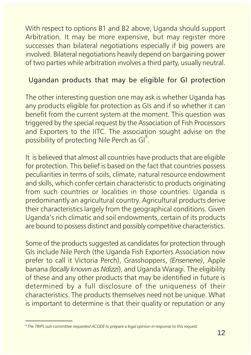With respect to options B1 and B2 above, Uganda should support Arbitration. It may be more expensive, but may register more successes than bilateral negotiations especially if big powers are involved. Bilateral negotiations heavily depend on bargaining power of two parties while arbitration involves a third party, usually neutral.

### Ugandan products that may be eligible for GI protection

The other interesting question one may ask is whether Uganda has any products eligible for protection as GIs and if so whether it can benefit from the current system at the moment. This question was triggered by the special request by the Association of Fish Processors and Exporters to the IITC. The association sought advise on the possibility of protecting Nile Perch as Gl<sup>8</sup>.

It is believed that almost all countries have products that are eligible for protection. This belief is based on the fact that countries possess peculiarities in terms of soils, climate, natural resource endowment and skills, which confer certain characteristic to products originating from such countries or localities in those countries. Uganda is predominantly an agricultural country. Agricultural products derive their characteristics largely from the geographical conditions. Given Uganda's rich climatic and soil endowments, certain of its products are bound to possess distinct and possibly competitive characteristics.

Some of the products suggested as candidates for protection through GIs include Nile Perch (the Uganda Fish Exporters Association now prefer to call it Victoria Perch), Grasshoppers, (Ensenene), Apple banana (locally known as Ndizzi), and Uganda Waragi. The eligibility of these and any other products that may be identified in future is determined by a full disclosure of the uniqueness of their characteristics. The products themselves need not be unique. What is important to determine is that their quality or reputation or any

<sup>&</sup>lt;sup>8</sup> The TRIPS sub-committee requested ACODE to prepare a legal opinion in response to this request.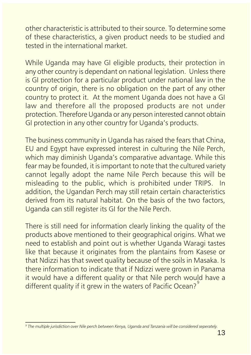other characteristic is attributed to their source. To determine some of these characteristics, a given product needs to be studied and tested in the international market.

While Uganda may have GI eligible products, their protection in any other country is dependant on national legislation. Unless there is GI protection for a particular product under national law in the country of origin, there is no obligation on the part of any other country to protect it. At the moment Uganda does not have a GI law and therefore all the proposed products are not under protection. Therefore Uganda or any person interested cannot obtain GI protection in any other country for Uganda's products.

The business community in Uganda has raised the fears that China, EU and Egypt have expressed interest in culturing the Nile Perch, which may diminish Uganda's comparative advantage. While this fear may be founded, it is important to note that the cultured variety cannot legally adopt the name Nile Perch because this will be misleading to the public, which is prohibited under TRIPS. In addition, the Ugandan Perch may still retain certain characteristics derived from its natural habitat. On the basis of the two factors, Uganda can still register its GI for the Nile Perch.

There is still need for information clearly linking the quality of the products above mentioned to their geographical origins. What we need to establish and point out is whether Uganda Waragi tastes like that because it originates from the plantains from Kasese or that Ndizzi has that sweet quality because of the soils in Masaka. Is there information to indicate that if Ndizzi were grown in Panama it would have a different quality or that Nile perch would have a different quality if it grew in the waters of Pacific Ocean?<sup>9</sup>

<sup>9</sup> The multiple jurisdiction over Nile perch between Kenya, Uganda and Tanzania will be considered seperately.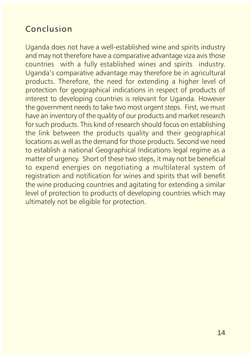## Conclusion

Uganda does not have a well-established wine and spirits industry and may not therefore have a comparative advantage viza avis those countries with a fully established wines and spirits industry. Uganda's comparative advantage may therefore be in agricultural products. Therefore, the need for extending a higher level of protection for geographical indications in respect of products of interest to developing countries is relevant for Uganda. However the government needs to take two most urgent steps. First, we must have an inventory of the quality of our products and market research for such products. This kind of research should focus on establishing the link between the products quality and their geographical locations as well as the demand for those products. Second we need to establish a national Geographical Indications legal regime as a matter of urgency. Short of these two steps, it may not be beneficial to expend energies on negotiating a multilateral system of registration and notification for wines and spirits that will benefit the wine producing countries and agitating for extending a similar level of protection to products of developing countries which may ultimately not be eligible for protection.